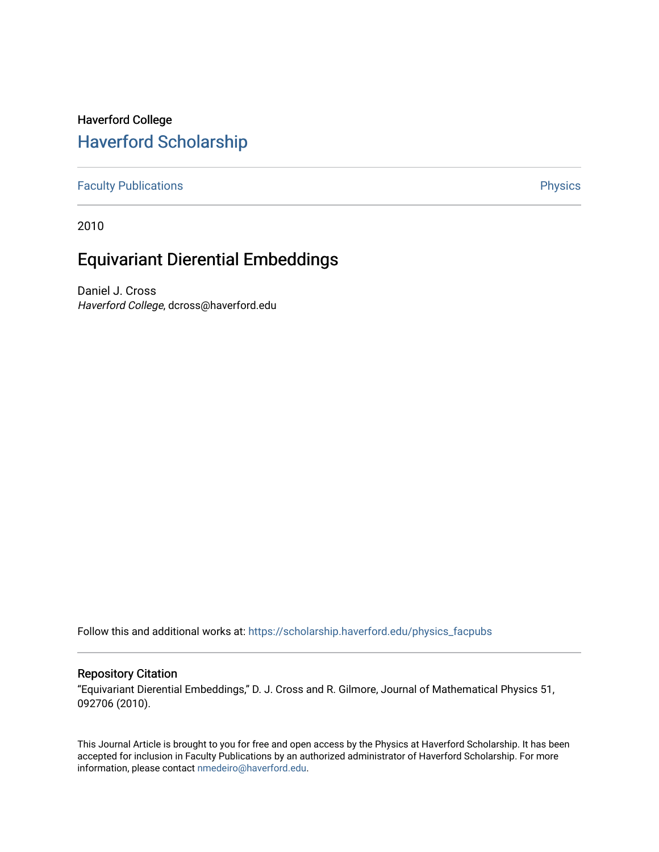# Haverford College [Haverford Scholarship](https://scholarship.haverford.edu/)

[Faculty Publications](https://scholarship.haverford.edu/physics_facpubs) **Physics** 

2010

# Equivariant Dierential Embeddings

Daniel J. Cross Haverford College, dcross@haverford.edu

Follow this and additional works at: [https://scholarship.haverford.edu/physics\\_facpubs](https://scholarship.haverford.edu/physics_facpubs?utm_source=scholarship.haverford.edu%2Fphysics_facpubs%2F334&utm_medium=PDF&utm_campaign=PDFCoverPages) 

### Repository Citation

"Equivariant Dierential Embeddings," D. J. Cross and R. Gilmore, Journal of Mathematical Physics 51, 092706 (2010).

This Journal Article is brought to you for free and open access by the Physics at Haverford Scholarship. It has been accepted for inclusion in Faculty Publications by an authorized administrator of Haverford Scholarship. For more information, please contact [nmedeiro@haverford.edu.](mailto:nmedeiro@haverford.edu)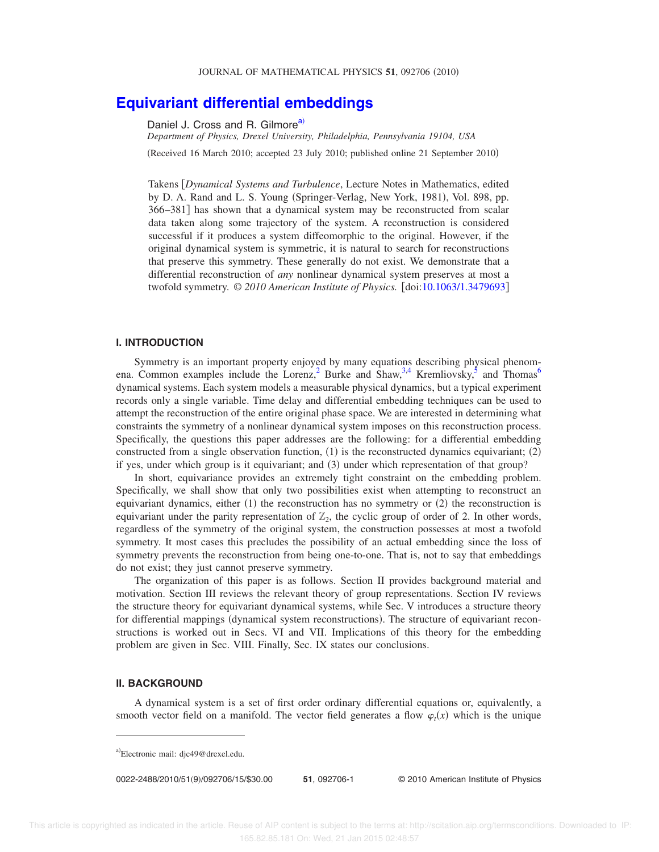## **[Equivariant differential embeddings](http://dx.doi.org/10.1063/1.3479693)**

D[a](#page-1-0)niel J. Cross and R. Gilmore<sup>a)</sup>

*Department of Physics, Drexel University, Philadelphia, Pennsylvania 19104, USA*

(Received 16 March 2010; accepted 23 July 2010; published online 21 September 2010)

Takens *Dynamical Systems and Turbulence*, Lecture Notes in Mathematics, edited by D. A. Rand and L. S. Young (Springer-Verlag, New York, 1981), Vol. 898, pp. 366–381 has shown that a dynamical system may be reconstructed from scalar data taken along some trajectory of the system. A reconstruction is considered successful if it produces a system diffeomorphic to the original. However, if the original dynamical system is symmetric, it is natural to search for reconstructions that preserve this symmetry. These generally do not exist. We demonstrate that a differential reconstruction of *any* nonlinear dynamical system preserves at most a twofold symmetry.  $\odot$  2010 American Institute of Physics. [doi[:10.1063/1.3479693](http://dx.doi.org/10.1063/1.3479693)]

### **I. INTRODUCTION**

Symmetry is an important property enjoyed by many equations describing physical phenom-ena. Common examples include the Lorenz,<sup>[2](#page-14-0)</sup> Burke and Shaw,<sup>[3,](#page-14-1)[4](#page-14-2)</sup> Kremliovsky,<sup>[5](#page-14-3)</sup> and Thomas<sup>[6](#page-14-4)</sup> dynamical systems. Each system models a measurable physical dynamics, but a typical experiment records only a single variable. Time delay and differential embedding techniques can be used to attempt the reconstruction of the entire original phase space. We are interested in determining what constraints the symmetry of a nonlinear dynamical system imposes on this reconstruction process. Specifically, the questions this paper addresses are the following: for a differential embedding constructed from a single observation function,  $(1)$  is the reconstructed dynamics equivariant;  $(2)$ if yes, under which group is it equivariant; and (3) under which representation of that group?

In short, equivariance provides an extremely tight constraint on the embedding problem. Specifically, we shall show that only two possibilities exist when attempting to reconstruct an equivariant dynamics, either  $(1)$  the reconstruction has no symmetry or  $(2)$  the reconstruction is equivariant under the parity representation of  $\mathbb{Z}_2$ , the cyclic group of order of 2. In other words, regardless of the symmetry of the original system, the construction possesses at most a twofold symmetry. It most cases this precludes the possibility of an actual embedding since the loss of symmetry prevents the reconstruction from being one-to-one. That is, not to say that embeddings do not exist; they just cannot preserve symmetry.

The organization of this paper is as follows. Section II provides background material and motivation. Section III reviews the relevant theory of group representations. Section IV reviews the structure theory for equivariant dynamical systems, while Sec. V introduces a structure theory for differential mappings (dynamical system reconstructions). The structure of equivariant reconstructions is worked out in Secs. VI and VII. Implications of this theory for the embedding problem are given in Sec. VIII. Finally, Sec. IX states our conclusions.

#### **II. BACKGROUND**

A dynamical system is a set of first order ordinary differential equations or, equivalently, a smooth vector field on a manifold. The vector field generates a flow  $\varphi_t(x)$  which is the unique

0022-2488/2010/51(9)/092706/15/\$30.00

/092706/15/\$30.00 © 2010 American Institute of Physics **51**, 092706-1

<span id="page-1-0"></span>a)Electronic mail: djc49@drexel.edu.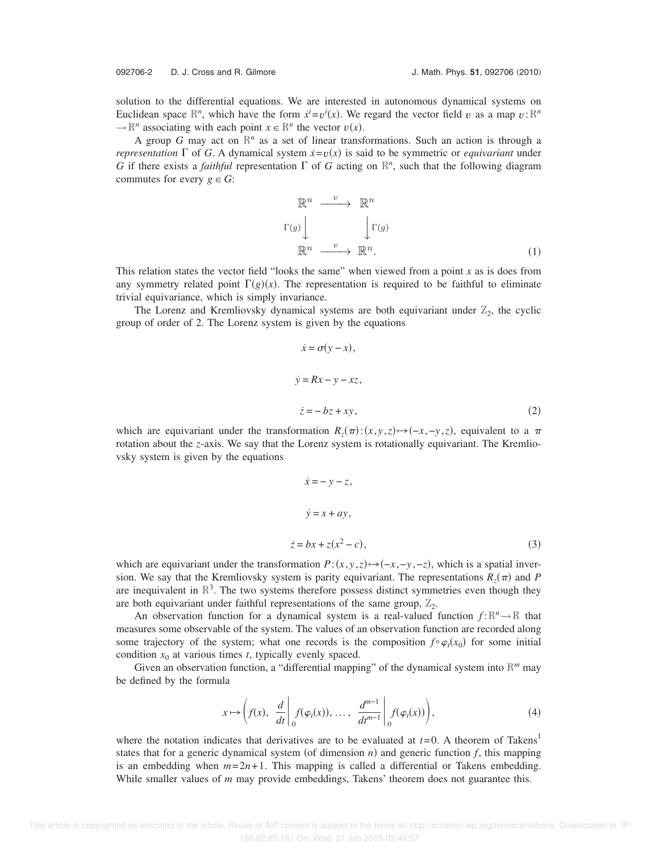solution to the differential equations. We are interested in autonomous dynamical systems on Euclidean space  $\mathbb{R}^n$ , which have the form  $\dot{x}^i = v^i(x)$ . We regard the vector field *v* as a map  $v:\mathbb{R}^n$  $\rightarrow \mathbb{R}^n$  associating with each point  $x \in \mathbb{R}^n$  the vector  $v(x)$ .

A group  $G$  may act on  $\mathbb{R}^n$  as a set of linear transformations. Such an action is through a *representation*  $\Gamma$  of *G*. A dynamical system  $\dot{x} = v(x)$  is said to be symmetric or *equivariant* under *G* if there exists a *faithful* representation  $\Gamma$  of *G* acting on  $\mathbb{R}^n$ , such that the following diagram commutes for every  $g \in G$ :

$$
\mathbb{R}^{n} \xrightarrow{v} \mathbb{R}^{n}
$$
  

$$
\Gamma(g) \downarrow \qquad \qquad \downarrow \Gamma(g)
$$
  

$$
\mathbb{R}^{n} \xrightarrow{v} \mathbb{R}^{n}.
$$
  
(1)

This relation states the vector field "looks the same" when viewed from a point *x* as is does from any symmetry related point  $\Gamma(g)(x)$ . The representation is required to be faithful to eliminate trivial equivariance, which is simply invariance.

<span id="page-2-0"></span>The Lorenz and Kremliovsky dynamical systems are both equivariant under  $\mathbb{Z}_2$ , the cyclic group of order of 2. The Lorenz system is given by the equations

$$
\dot{x} = \sigma(y - x),
$$
  
\n
$$
\dot{y} = Rx - y - xz,
$$
  
\n
$$
\dot{z} = -bz + xy,
$$
\n(2)

<span id="page-2-2"></span>which are equivariant under the transformation  $R_z(\pi): (x, y, z) \mapsto (-x, -y, z)$ , equivalent to a  $\pi$ rotation about the *z*-axis. We say that the Lorenz system is rotationally equivariant. The Kremliovsky system is given by the equations

$$
\begin{aligned}\n\dot{x} &= -y - z, \\
\dot{y} &= x + ay, \\
\dot{z} &= bx + z(x^2 - c),\n\end{aligned}
$$
\n(3)

which are equivariant under the transformation  $P: (x, y, z) \mapsto (-x, -y, -z)$ , which is a spatial inversion. We say that the Kremliovsky system is parity equivariant. The representations  $R_z(\pi)$  and *P* are inequivalent in  $\mathbb{R}^3$ . The two systems therefore possess distinct symmetries even though they are both equivariant under faithful representations of the same group,  $\mathbb{Z}_2$ .

An observation function for a dynamical system is a real-valued function  $f: \mathbb{R}^n \to \mathbb{R}$  that measures some observable of the system. The values of an observation function are recorded along some trajectory of the system; what one records is the composition  $f \circ \varphi_t(x_0)$  for some initial condition  $x_0$  at various times  $t$ , typically evenly spaced.

<span id="page-2-1"></span>Given an observation function, a "differential mapping" of the dynamical system into R<sup>m</sup> may be defined by the formula

$$
x \mapsto \left(f(x), \frac{d}{dt} \bigg|_0 f(\varphi_t(x)), \dots, \frac{d^{m-1}}{dt^{m-1}} \bigg|_0 f(\varphi_t(x))\right), \tag{4}
$$

where the notation indicates that derivatives are to be evaluated at  $t=0$ . A theorem of Takens<sup>[1](#page-14-5)</sup> states that for a generic dynamical system (of dimension  $n$ ) and generic function  $f$ , this mapping is an embedding when  $m=2n+1$ . This mapping is called a differential or Takens embedding. While smaller values of *m* may provide embeddings, Takens' theorem does not guarantee this.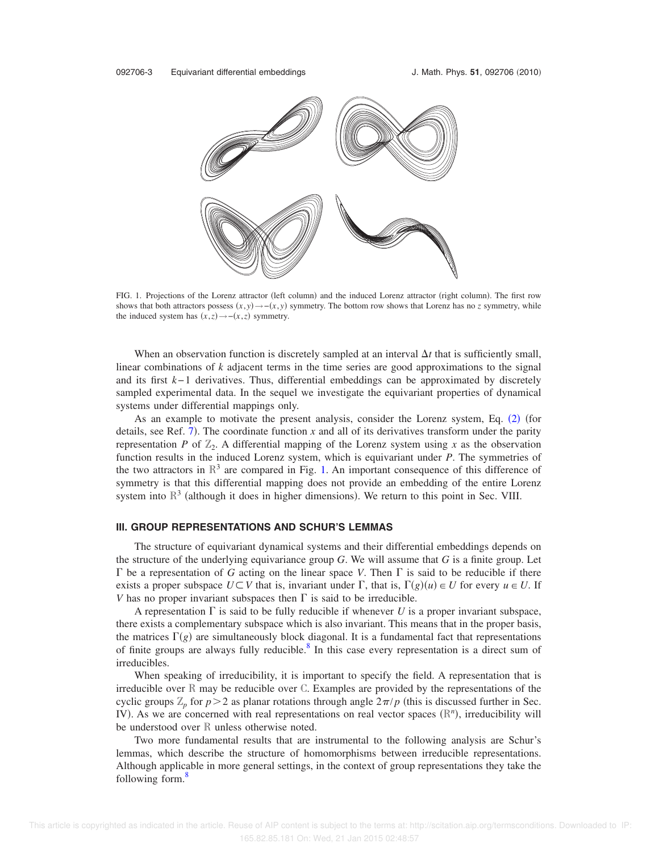<span id="page-3-0"></span>

FIG. 1. Projections of the Lorenz attractor (left column) and the induced Lorenz attractor (right column). The first row shows that both attractors possess  $(x, y) \rightarrow -(x, y)$  symmetry. The bottom row shows that Lorenz has no *z* symmetry, while the induced system has  $(x, z) \rightarrow -(x, z)$  symmetry.

When an observation function is discretely sampled at an interval  $\Delta t$  that is sufficiently small, linear combinations of *k* adjacent terms in the time series are good approximations to the signal and its first *k*− 1 derivatives. Thus, differential embeddings can be approximated by discretely sampled experimental data. In the sequel we investigate the equivariant properties of dynamical systems under differential mappings only.

As an example to motivate the present analysis, consider the Lorenz system, Eq.  $(2)$  $(2)$  $(2)$  (for details, see Ref. [7](#page-15-0)). The coordinate function  $x$  and all of its derivatives transform under the parity representation *P* of  $\mathbb{Z}_2$ . A differential mapping of the Lorenz system using *x* as the observation function results in the induced Lorenz system, which is equivariant under *P*. The symmetries of the two attractors in  $\mathbb{R}^3$  are compared in Fig. [1.](#page-3-0) An important consequence of this difference of symmetry is that this differential mapping does not provide an embedding of the entire Lorenz system into  $\mathbb{R}^3$  (although it does in higher dimensions). We return to this point in Sec. VIII.

#### **III. GROUP REPRESENTATIONS AND SCHUR'S LEMMAS**

The structure of equivariant dynamical systems and their differential embeddings depends on the structure of the underlying equivariance group *G*. We will assume that *G* is a finite group. Let  $\Gamma$  be a representation of *G* acting on the linear space *V*. Then  $\Gamma$  is said to be reducible if there exists a proper subspace  $U \subset V$  that is, invariant under  $\Gamma$ , that is,  $\Gamma(g)(u) \in U$  for every  $u \in U$ . If *V* has no proper invariant subspaces then  $\Gamma$  is said to be irreducible.

A representation  $\Gamma$  is said to be fully reducible if whenever U is a proper invariant subspace, there exists a complementary subspace which is also invariant. This means that in the proper basis, the matrices  $\Gamma(g)$  are simultaneously block diagonal. It is a fundamental fact that representations of finite groups are always fully reducible.<sup>[8](#page-15-1)</sup> In this case every representation is a direct sum of irreducibles.

When speaking of irreducibility, it is important to specify the field. A representation that is irreducible over R may be reducible over C. Examples are provided by the representations of the cyclic groups  $\mathbb{Z}_p$  for  $p > 2$  as planar rotations through angle  $2\pi/p$  (this is discussed further in Sec. IV). As we are concerned with real representations on real vector spaces  $(\mathbb{R}^n)$ , irreducibility will be understood over R unless otherwise noted.

Two more fundamental results that are instrumental to the following analysis are Schur's lemmas, which describe the structure of homomorphisms between irreducible representations. Although applicable in more general settings, in the context of group representations they take the following form.<sup>[8](#page-15-1)</sup>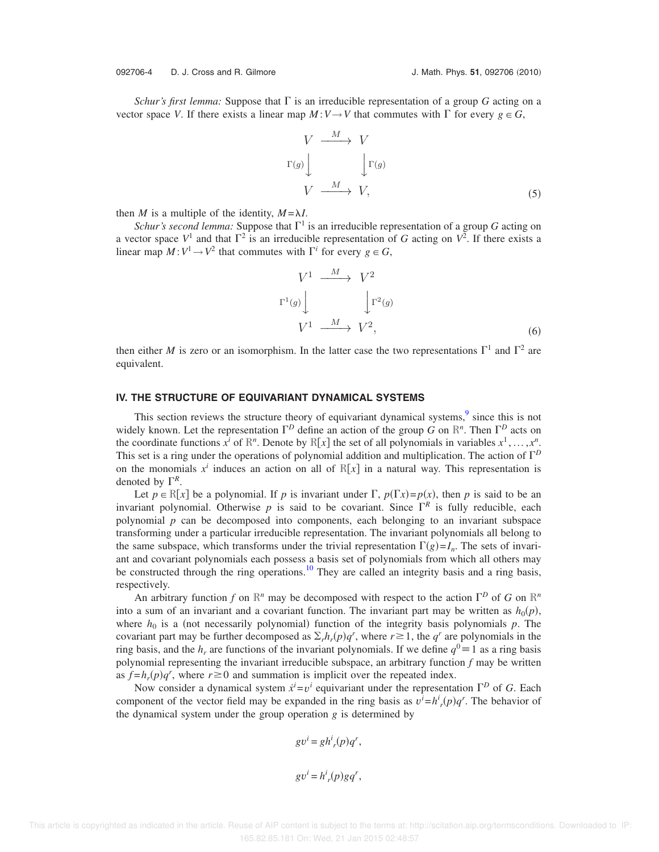092706-4 D. J. Cross and R. Gilmore **J. Math. Phys. 51**, 092706 (2010)

*Schur's first lemma:* Suppose that  $\Gamma$  is an irreducible representation of a group G acting on a vector space *V*. If there exists a linear map  $M: V \to V$  that commutes with  $\Gamma$  for every  $g \in G$ ,

$$
V \xrightarrow{M} V
$$
  
\n
$$
\Gamma(g) \downarrow \qquad \qquad \downarrow \Gamma(g)
$$
  
\n
$$
V \xrightarrow{M} V,
$$
 (5)

then *M* is a multiple of the identity,  $M = \lambda I$ .

*Schur's second lemma:* Suppose that  $\Gamma^1$  is an irreducible representation of a group *G* acting on a vector space  $V^1$  and that  $\Gamma^2$  is an irreducible representation of *G* acting on  $V^2$ . If there exists a linear map  $M: V^1 \to V^2$  that commutes with  $\Gamma^i$  for every  $g \in G$ ,

$$
V^{1} \xrightarrow{M} V^{2}
$$
  
\n
$$
\Gamma^{1}(g) \downarrow \qquad \qquad \downarrow \Gamma^{2}(g)
$$
  
\n
$$
V^{1} \xrightarrow{M} V^{2}, \qquad (6)
$$

then either *M* is zero or an isomorphism. In the latter case the two representations  $\Gamma^1$  and  $\Gamma^2$  are equivalent.

#### **IV. THE STRUCTURE OF EQUIVARIANT DYNAMICAL SYSTEMS**

This section reviews the structure theory of equivariant dynamical systems,  $\frac{9}{5}$  $\frac{9}{5}$  $\frac{9}{5}$  since this is not widely known. Let the representation  $\Gamma^D$  define an action of the group *G* on  $\mathbb{R}^n$ . Then  $\Gamma^D$  acts on the coordinate functions  $x^i$  of  $\mathbb{R}^n$ . Denote by  $\mathbb{R}[x]$  the set of all polynomials in variables  $x^1, \ldots, x^n$ . This set is a ring under the operations of polynomial addition and multiplication. The action of  $\Gamma^D$ on the monomials  $x^i$  induces an action on all of  $R[x]$  in a natural way. This representation is denoted by  $\Gamma^R$ .

Let  $p \in \mathbb{R}[x]$  be a polynomial. If *p* is invariant under  $\Gamma$ ,  $p(\Gamma x) = p(x)$ , then *p* is said to be an invariant polynomial. Otherwise  $p$  is said to be covariant. Since  $\Gamma^R$  is fully reducible, each polynomial  $p$  can be decomposed into components, each belonging to an invariant subspace transforming under a particular irreducible representation. The invariant polynomials all belong to the same subspace, which transforms under the trivial representation  $\Gamma(g) = I_n$ . The sets of invariant and covariant polynomials each possess a basis set of polynomials from which all others may be constructed through the ring operations.<sup>[10](#page-15-3)</sup> They are called an integrity basis and a ring basis, respectively.

An arbitrary function f on  $\mathbb{R}^n$  may be decomposed with respect to the action  $\Gamma^D$  of G on  $\mathbb{R}^n$ into a sum of an invariant and a covariant function. The invariant part may be written as  $h_0(p)$ , where  $h_0$  is a (not necessarily polynomial) function of the integrity basis polynomials  $p$ . The covariant part may be further decomposed as  $\Sigma_r h_r(p) q^r$ , where  $r \ge 1$ , the  $q^r$  are polynomials in the ring basis, and the  $h_r$  are functions of the invariant polynomials. If we define  $q^0 \equiv 1$  as a ring basis polynomial representing the invariant irreducible subspace, an arbitrary function *f* may be written as  $f=h_r(p)q^r$ , where  $r \ge 0$  and summation is implicit over the repeated index.

Now consider a dynamical system  $\dot{x}^i = v^i$  equivariant under the representation  $\Gamma^D$  of *G*. Each component of the vector field may be expanded in the ring basis as  $v^i = h^i_r(p)q^r$ . The behavior of the dynamical system under the group operation *g* is determined by

$$
gvi = ghir(p)qr,
$$
  

$$
gvi = hir(p)gqr,
$$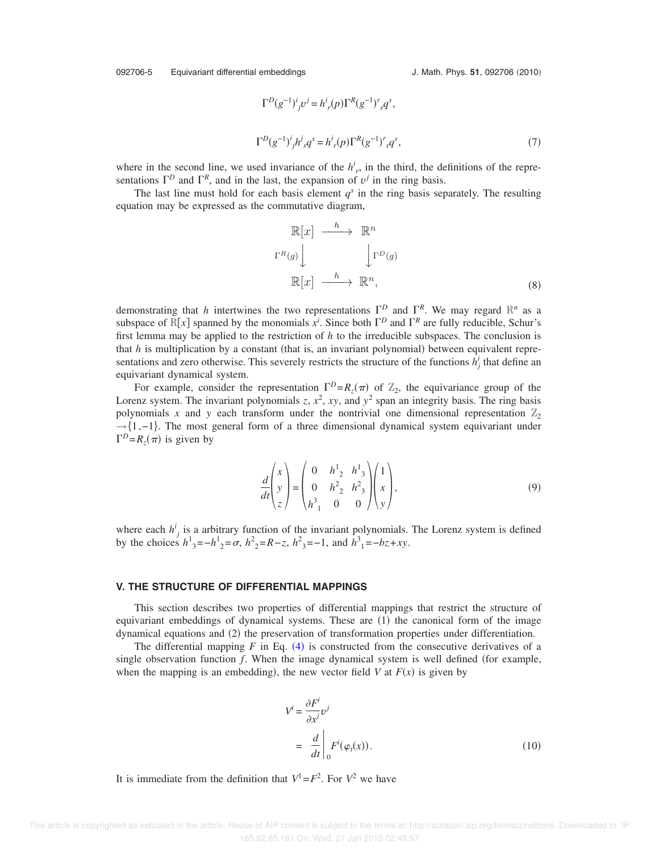J. Math. Phys. 51, 092706 (2010)

$$
\Gamma^{D}(g^{-1})^{i}{}_{j}v^{j} = h^{i}{}_{r}(p)\Gamma^{R}(g^{-1})^{r}{}_{s}q^{s},
$$
  

$$
\Gamma^{D}(g^{-1})^{i}{}_{j}h^{j}{}_{s}q^{s} = h^{i}{}_{r}(p)\Gamma^{R}(g^{-1})^{r}{}_{s}q^{s},
$$
 (7)

where in the second line, we used invariance of the  $h^i_r$ , in the third, the definitions of the representations  $\Gamma^D$  and  $\Gamma^R$ , and in the last, the expansion of  $v^j$  in the ring basis.

<span id="page-5-0"></span>The last line must hold for each basis element  $q<sup>s</sup>$  in the ring basis separately. The resulting equation may be expressed as the commutative diagram,

$$
\mathbb{R}[x] \xrightarrow{h} \mathbb{R}^n
$$
  

$$
\Gamma^R(g) \downarrow \qquad \qquad \downarrow \Gamma^D(g)
$$
  

$$
\mathbb{R}[x] \xrightarrow{h} \mathbb{R}^n,
$$
 (8)

demonstrating that *h* intertwines the two representations  $\Gamma^D$  and  $\Gamma^R$ . We may regard  $\mathbb{R}^n$  as a subspace of  $R[x]$  spanned by the monomials  $x^i$ . Since both  $\Gamma^D$  and  $\Gamma^R$  are fully reducible, Schur's first lemma may be applied to the restriction of *h* to the irreducible subspaces. The conclusion is that  $h$  is multiplication by a constant (that is, an invariant polynomial) between equivalent representations and zero otherwise. This severely restricts the structure of the functions  $h_j^i$  that define an equivariant dynamical system.

For example, consider the representation  $\Gamma^D = R_z(\pi)$  of  $\mathbb{Z}_2$ , the equivariance group of the Lorenz system. The invariant polynomials  $z$ ,  $x^2$ ,  $xy$ , and  $y^2$  span an integrity basis. The ring basis polynomials *x* and *y* each transform under the nontrivial one dimensional representation  $\mathbb{Z}_2$  $\rightarrow$ {1,−1}. The most general form of a three dimensional dynamical system equivariant under  $\Gamma^D = R_z(\pi)$  is given by

$$
\frac{d}{dt} \begin{pmatrix} x \\ y \\ z \end{pmatrix} = \begin{pmatrix} 0 & h_{2}^{1} & h_{3}^{1} \\ 0 & h_{2}^{2} & h_{3}^{2} \\ h_{1}^{3} & 0 & 0 \end{pmatrix} \begin{pmatrix} 1 \\ x \\ y \end{pmatrix},
$$
\n(9)

where each  $h^i_j$  is a arbitrary function of the invariant polynomials. The Lorenz system is defined by the choices  $h^1{}_{3} = -h^1{}_{2} = \sigma$ ,  $h^2{}_{2} = R - z$ ,  $h^2{}_{3} = -1$ , and  $h^3{}_{1} = -bz + xy$ .

#### **V. THE STRUCTURE OF DIFFERENTIAL MAPPINGS**

This section describes two properties of differential mappings that restrict the structure of equivariant embeddings of dynamical systems. These are  $(1)$  the canonical form of the image dynamical equations and (2) the preservation of transformation properties under differentiation.

The differential mapping  $F$  in Eq.  $(4)$  $(4)$  $(4)$  is constructed from the consecutive derivatives of a single observation function  $f$ . When the image dynamical system is well defined (for example, when the mapping is an embedding), the new vector field *V* at  $F(x)$  is given by

$$
V^{i} = \frac{\partial F^{i}}{\partial x^{j}} v^{j}
$$
  
= 
$$
\frac{d}{dt} \bigg|_{0} F^{i}(\varphi_{t}(x)).
$$
 (10)

It is immediate from the definition that  $V^1 = F^2$ . For  $V^2$  we have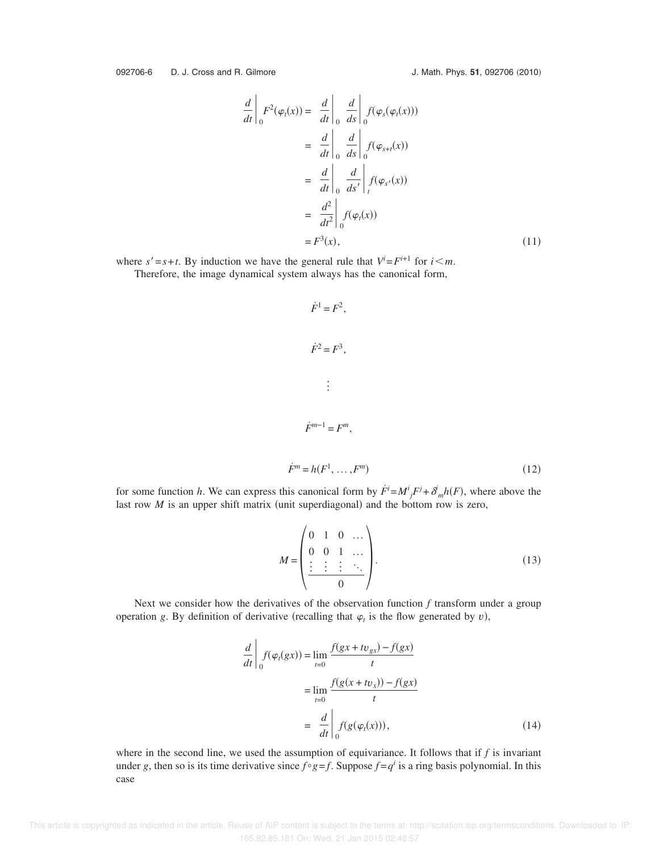$$
\frac{d}{dt}\Big|_{0} F^{2}(\varphi_{t}(x)) = \frac{d}{dt}\Big|_{0} \frac{d}{ds}\Big|_{0} f(\varphi_{s}(\varphi_{t}(x)))
$$
\n
$$
= \frac{d}{dt}\Big|_{0} \frac{d}{ds}\Big|_{0} f(\varphi_{s+t}(x))
$$
\n
$$
= \frac{d}{dt}\Big|_{0} \frac{d}{ds'}\Big|_{t} f(\varphi_{s'}(x))
$$
\n
$$
= \frac{d^{2}}{dt^{2}}\Big|_{0} f(\varphi_{t}(x))
$$
\n
$$
= F^{3}(x), \qquad (11)
$$

<span id="page-6-1"></span>where  $s' = s + t$ . By induction we have the general rule that  $V^i = F^{i+1}$  for  $i \le m$ . Therefore, the image dynamical system always has the canonical form,

$$
\dot{F}^1 = F^2,
$$
  
\n
$$
\dot{F}^2 = F^3,
$$
  
\n
$$
\vdots
$$
  
\n
$$
\dot{F}^{m-1} = F^m,
$$
  
\n
$$
\dot{F}^m = h(F^1, \dots, F^m)
$$
\n(12)

<span id="page-6-0"></span>for some function *h*. We can express this canonical form by  $\dot{F}^i = M^i{}_j F^j + \delta^i{}_m h(F)$ , where above the last row  $M$  is an upper shift matrix (unit superdiagonal) and the bottom row is zero,

$$
M = \begin{pmatrix} 0 & 1 & 0 & \dots \\ 0 & 0 & 1 & \dots \\ \vdots & \vdots & \vdots & \ddots \\ 0 & 0 & 0 & \dots \end{pmatrix}.
$$
 (13)

Next we consider how the derivatives of the observation function *f* transform under a group operation g. By definition of derivative (recalling that  $\varphi_t$  is the flow generated by *v*),

$$
\frac{d}{dt} \left| \int_{0}^{t} f(\varphi_{t}(gx)) = \lim_{t=0} \frac{f(gx + tv_{gx}) - f(gx)}{t} \right|
$$
\n
$$
= \lim_{t=0} \frac{f(g(x + tv_{x})) - f(gx)}{t}
$$
\n
$$
= \frac{d}{dt} \left| \int_{0}^{t} f(g(\varphi_{t}(x))), \tag{14}
$$

where in the second line, we used the assumption of equivariance. It follows that if *f* is invariant under *g*, then so is its time derivative since  $f \circ g = f$ . Suppose  $f = q^i$  is a ring basis polynomial. In this case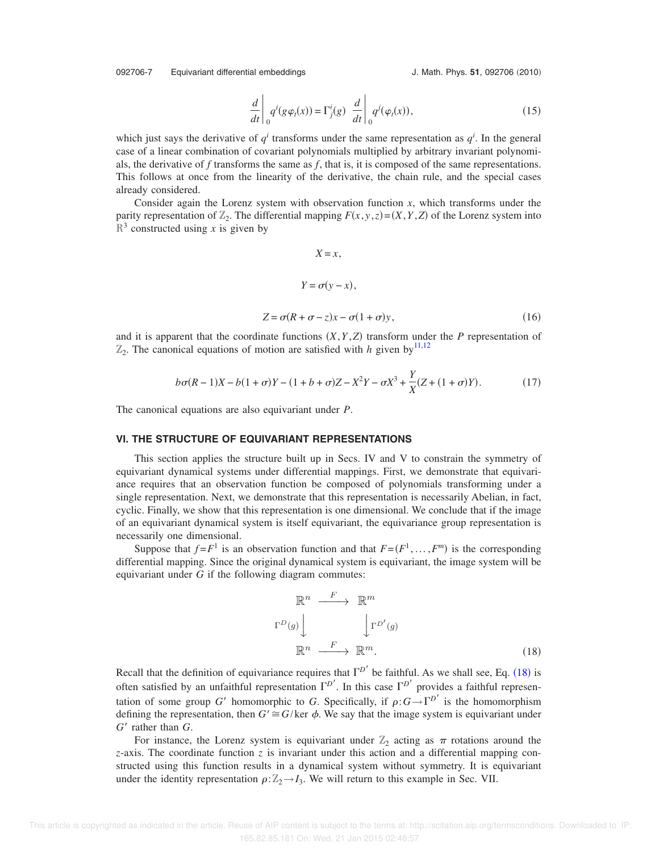092706-7 Equivariant differential embeddings

J. Math. Phys. 51, 092706 (2010)

$$
\frac{d}{dt}\bigg|_0 q^i(g\varphi_t(x)) = \Gamma^i_j(g) \frac{d}{dt}\bigg|_0 q^j(\varphi_t(x)),\tag{15}
$$

which just says the derivative of  $q<sup>i</sup>$  transforms under the same representation as  $q<sup>i</sup>$ . In the general case of a linear combination of covariant polynomials multiplied by arbitrary invariant polynomials, the derivative of *f* transforms the same as *f*, that is, it is composed of the same representations. This follows at once from the linearity of the derivative, the chain rule, and the special cases already considered.

Consider again the Lorenz system with observation function *x*, which transforms under the parity representation of  $\mathbb{Z}_2$ . The differential mapping  $F(x, y, z) = (X, Y, Z)$  of the Lorenz system into  $\mathbb{R}^3$  constructed using *x* is given by

$$
X = x,
$$
  
\n
$$
Y = \sigma(y - x),
$$
  
\n
$$
Z = \sigma(R + \sigma - z)x - \sigma(1 + \sigma)y,
$$
\n(16)

and it is apparent that the coordinate functions  $(X, Y, Z)$  transform under the *P* representation of  $\mathbb{Z}_2$ . The canonical equations of motion are satisfied with *h* given by<sup>[11](#page-15-4)[,12](#page-15-5)</sup>

$$
b\sigma(R-1)X - b(1+\sigma)Y - (1+b+\sigma)Z - X^2Y - \sigma X^3 + \frac{Y}{X}(Z + (1+\sigma)Y). \tag{17}
$$

The canonical equations are also equivariant under *P*.

#### **VI. THE STRUCTURE OF EQUIVARIANT REPRESENTATIONS**

This section applies the structure built up in Secs. IV and V to constrain the symmetry of equivariant dynamical systems under differential mappings. First, we demonstrate that equivariance requires that an observation function be composed of polynomials transforming under a single representation. Next, we demonstrate that this representation is necessarily Abelian, in fact, cyclic. Finally, we show that this representation is one dimensional. We conclude that if the image of an equivariant dynamical system is itself equivariant, the equivariance group representation is necessarily one dimensional.

<span id="page-7-0"></span>Suppose that  $f = F^1$  is an observation function and that  $F = (F^1, \ldots, F^m)$  is the corresponding differential mapping. Since the original dynamical system is equivariant, the image system will be equivariant under *G* if the following diagram commutes:

$$
\mathbb{R}^{n} \xrightarrow{F} \mathbb{R}^{m}
$$
  
\n
$$
\Gamma^{D}(g) \downarrow \qquad \qquad \downarrow \Gamma^{D'}(g)
$$
  
\n
$$
\mathbb{R}^{n} \xrightarrow{F} \mathbb{R}^{m}.
$$
\n(18)

Recall that the definition of equivariance requires that  $\Gamma^{D'}$  be faithful. As we shall see, Eq. ([18](#page-7-0)) is often satisfied by an unfaithful representation  $\Gamma^{D'}$ . In this case  $\Gamma^{D'}$  provides a faithful representation of some group *G*<sup> $\prime$ </sup> homomorphic to *G*. Specifically, if  $\rho: G \to \Gamma^{D'}$  is the homomorphism defining the representation, then  $G' \cong G/\text{ker } \phi$ . We say that the image system is equivariant under *G*- rather than *G*.

For instance, the Lorenz system is equivariant under  $\mathbb{Z}_2$  acting as  $\pi$  rotations around the *z*-axis. The coordinate function *z* is invariant under this action and a differential mapping constructed using this function results in a dynamical system without symmetry. It is equivariant under the identity representation  $\rho: \mathbb{Z}_2 \to I_3$ . We will return to this example in Sec. VII.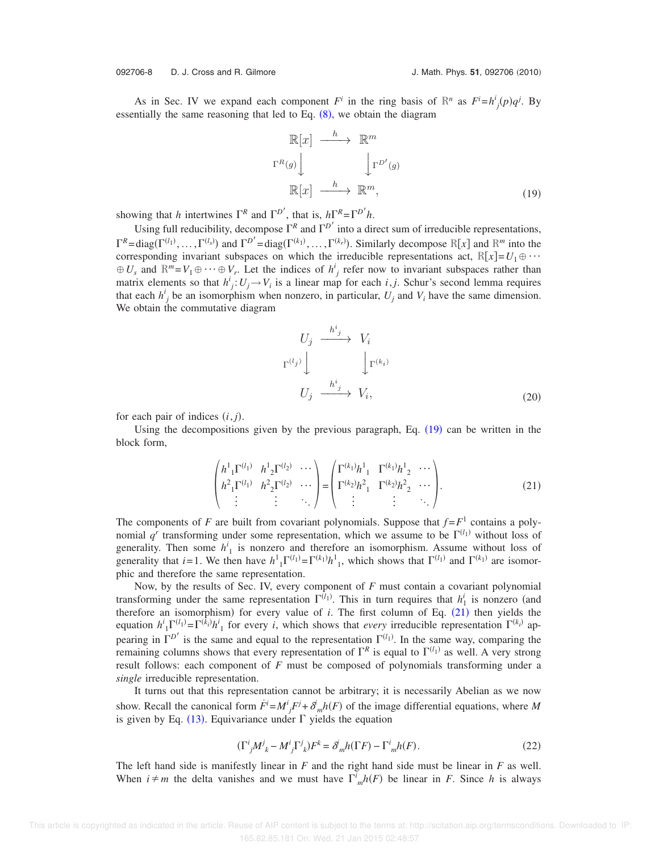092706-8 D. J. Cross and R. Gilmore **J. Math. Phys. 51, 092706 (2010)** 

<span id="page-8-0"></span>As in Sec. IV we expand each component  $F^i$  in the ring basis of  $\mathbb{R}^n$  as  $F^i = h^i_{\;j}(p)q^j$ . By essentially the same reasoning that led to Eq.  $(8)$  $(8)$  $(8)$ , we obtain the diagram

$$
\mathbb{R}[x] \xrightarrow{h} \mathbb{R}^m
$$
  

$$
\Gamma^R(g) \downarrow \qquad \qquad \downarrow \Gamma^{D'}(g)
$$
  

$$
\mathbb{R}[x] \xrightarrow{h} \mathbb{R}^m,
$$
 (19)

showing that *h* intertwines  $\Gamma^R$  and  $\Gamma^{D'}$ , that is,  $h\Gamma^R = \Gamma^{D'}h$ .

Using full reducibility, decompose  $\Gamma^R$  and  $\Gamma^{D'}$  into a direct sum of irreducible representations,  $\Gamma^R = \text{diag}(\Gamma^{(l_1)}, \ldots, \Gamma^{(l_s)})$  and  $\Gamma^{D'} = \text{diag}(\Gamma^{(k_1)}, \ldots, \Gamma^{(k_r)})$ . Similarly decompose R[x] and R<sup>*m*</sup> into the corresponding invariant subspaces on which the irreducible representations act,  $R[x]=U_1 \oplus \cdots$  $\oplus U_s$  and  $\mathbb{R}^m = V_1 \oplus \cdots \oplus V_r$ . Let the indices of  $h^i_j$  refer now to invariant subspaces rather than matrix elements so that  $h^i_j: U_j \to V_i$  is a linear map for each *i*, *j*. Schur's second lemma requires that each  $h^i_j$  be an isomorphism when nonzero, in particular,  $U_j$  and  $V_i$  have the same dimension. We obtain the commutative diagram

$$
U_j \xrightarrow{h^i_j} V_i
$$
  
\n
$$
\Gamma^{(l_j)} \downarrow \qquad \qquad \downarrow \Gamma^{(k_i)}
$$
  
\n
$$
U_j \xrightarrow{h^i_j} V_i,
$$
\n(20)

for each pair of indices  $(i, j)$ .

<span id="page-8-1"></span>Using the decompositions given by the previous paragraph, Eq.  $(19)$  $(19)$  $(19)$  can be written in the block form,

$$
\begin{pmatrix} h_{11}^1 \Gamma^{(l_1)} & h_{21}^1 \Gamma^{(l_2)} & \cdots \\ h_{11}^2 \Gamma^{(l_1)} & h_{21}^2 \Gamma^{(l_2)} & \cdots \\ \vdots & \vdots & \ddots \end{pmatrix} = \begin{pmatrix} \Gamma^{(k_1)} h_{11}^1 & \Gamma^{(k_1)} h_{21}^1 & \cdots \\ \Gamma^{(k_2)} h_{11}^2 & \Gamma^{(k_2)} h_{22}^2 & \cdots \\ \vdots & \vdots & \ddots \end{pmatrix} .
$$
 (21)

The components of *F* are built from covariant polynomials. Suppose that  $f = F<sup>1</sup>$  contains a polynomial  $q^r$  transforming under some representation, which we assume to be  $\Gamma^{(l_1)}$  without loss of generality. Then some  $h_1^i$  is nonzero and therefore an isomorphism. Assume without loss of generality that *i*=1. We then have  $h^1{}_1 \Gamma^{(l_1)} = \Gamma^{(k_1)} h^1{}_1$ , which shows that  $\Gamma^{(l_1)}$  and  $\Gamma^{(k_1)}$  are isomorphic and therefore the same representation.

Now, by the results of Sec. IV, every component of *F* must contain a covariant polynomial transforming under the same representation  $\Gamma^{(\bar{l}_1)}$ . This in turn requires that  $h_1^i$  is nonzero (and therefore an isomorphism) for every value of  $i$ . The first column of Eq.  $(21)$  $(21)$  $(21)$  then yields the equation  $h^i{}_1\Gamma^{(l_1)} = \Gamma^{(k_i)}h^i{}_1$  for every *i*, which shows that *every* irreducible representation  $\Gamma^{(k_i)}$  appearing in  $\Gamma^{D'}$  is the same and equal to the representation  $\Gamma^{(l_1)}$ . In the same way, comparing the remaining columns shows that every representation of  $\Gamma^R$  is equal to  $\Gamma^{(l_1)}$  as well. A very strong result follows: each component of *F* must be composed of polynomials transforming under a *single* irreducible representation.

It turns out that this representation cannot be arbitrary; it is necessarily Abelian as we now show. Recall the canonical form  $\dot{F}^i = M^i{}_j F^j + \delta^i{}_m h(F)$  of the image differential equations, where *M* is given by Eq.  $(13)$  $(13)$  $(13)$ . Equivariance under  $\Gamma$  yields the equation

$$
(\Gamma^i_{\ j}M^j_{\ k} - M^i_{\ j}\Gamma^j_{\ k})F^k = \delta^i_{\ m}h(\Gamma F) - \Gamma^i_{\ m}h(F). \tag{22}
$$

The left hand side is manifestly linear in *F* and the right hand side must be linear in *F* as well. When  $i \neq m$  the delta vanishes and we must have  $\Gamma^i_m h(F)$  be linear in *F*. Since *h* is always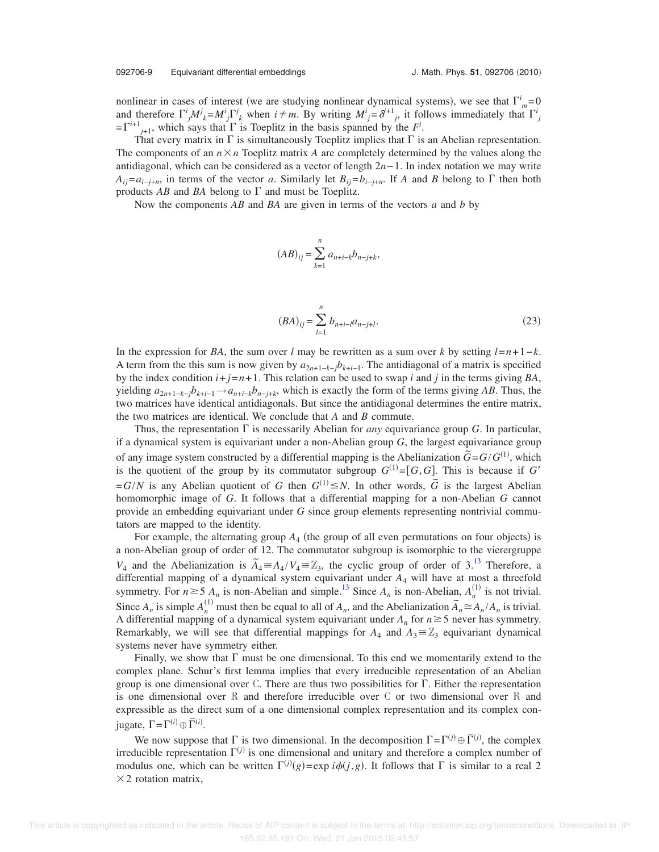nonlinear in cases of interest (we are studying nonlinear dynamical systems), we see that  $\Gamma^i_{m}=0$ and therefore  $\Gamma^i_j M^j{}_k = M^i{}_j \Gamma^j{}_k$  when  $i \neq m$ . By writing  $M^i{}_j = \delta^{+1}{}_{j}$ , it follows immediately that  $\Gamma^i{}_j$  $=\Gamma^{i+1}$ <sub>*j*+1</sub>, which says that  $\Gamma$  is Toeplitz in the basis spanned by the  $F^i$ .

That every matrix in  $\Gamma$  is simultaneously Toeplitz implies that  $\Gamma$  is an Abelian representation. The components of an  $n \times n$  Toeplitz matrix *A* are completely determined by the values along the antidiagonal, which can be considered as a vector of length 2*n*− 1. In index notation we may write  $A_{ij} = a_{i-j+n}$ , in terms of the vector *a*. Similarly let  $B_{ij} = b_{i-j+n}$ . If *A* and *B* belong to  $\Gamma$  then both products  $AB$  and  $BA$  belong to  $\Gamma$  and must be Toeplitz.

Now the components *AB* and *BA* are given in terms of the vectors *a* and *b* by

$$
(AB)_{ij} = \sum_{k=1}^{n} a_{n+i-k} b_{n-j+k},
$$

$$
(BA)_{ij} = \sum_{l=1}^{n} b_{n+i-l} a_{n-j+l}.
$$
 (23)

In the expression for *BA*, the sum over *l* may be rewritten as a sum over *k* by setting *l*=*n*+1−*k*. A term from the this sum is now given by  $a_{2n+1-k-j}b_{k+i-1}$ . The antidiagonal of a matrix is specified by the index condition  $i+j=n+1$ . This relation can be used to swap  $i$  and  $j$  in the terms giving  $BA$ , yielding  $a_{2n+1-k-j}b_{k+i-1}$  →  $a_{n+i-k}b_{n-j+k}$ , which is exactly the form of the terms giving *AB*. Thus, the two matrices have identical antidiagonals. But since the antidiagonal determines the entire matrix, the two matrices are identical. We conclude that *A* and *B* commute.

Thus, the representation  $\Gamma$  is necessarily Abelian for *any* equivariance group *G*. In particular, if a dynamical system is equivariant under a non-Abelian group *G*, the largest equivariance group of any image system constructed by a differential mapping is the Abelianization  $\tilde{G} = G/G^{(1)}$ , which is the quotient of the group by its commutator subgroup  $G^{(1)} = [G, G]$ . This is because if *G*<sup>-</sup>  $=$  *G*/*N* is any Abelian quotient of *G* then  $G^{(1)} \le N$ . In other words,  $\tilde{G}$  is the largest Abelian homomorphic image of *G*. It follows that a differential mapping for a non-Abelian *G* cannot provide an embedding equivariant under *G* since group elements representing nontrivial commutators are mapped to the identity.

For example, the alternating group  $A_4$  (the group of all even permutations on four objects) is a non-Abelian group of order of 12. The commutator subgroup is isomorphic to the vierergruppe *V*<sub>4</sub> and the Abelianization is  $\tilde{A}_4 \cong A_4 / V_4 \cong \mathbb{Z}_3$ , the cyclic group of order of 3.<sup>[13](#page-15-6)</sup> Therefore, a differential mapping of a dynamical system equivariant under *A*<sup>4</sup> will have at most a threefold symmetry. For  $n \ge 5$   $A_n$  is non-Abelian and simple.<sup>[13](#page-15-6)</sup> Since  $A_n$  is non-Abelian,  $A_n^{(1)}$  is not trivial. Since  $A_n$  is simple  $A_n^{(1)}$  must then be equal to all of  $A_n$ , and the Abelianization  $\tilde{A}_n \cong A_n/A_n$  is trivial. A differential mapping of a dynamical system equivariant under  $A_n$  for  $n \ge 5$  never has symmetry. Remarkably, we will see that differential mappings for  $A_4$  and  $A_3 \cong \mathbb{Z}_3$  equivariant dynamical systems never have symmetry either.

Finally, we show that  $\Gamma$  must be one dimensional. To this end we momentarily extend to the complex plane. Schur's first lemma implies that every irreducible representation of an Abelian group is one dimensional over C. There are thus two possibilities for  $\Gamma$ . Either the representation is one dimensional over R and therefore irreducible over C or two dimensional over R and expressible as the direct sum of a one dimensional complex representation and its complex conjugate,  $\Gamma = \Gamma^{(i)} \oplus \overline{\Gamma}^{(i)}$ .

We now suppose that  $\Gamma$  is two dimensional. In the decomposition  $\Gamma = \Gamma^{(j)} \oplus \overline{\Gamma}^{(j)}$ , the complex irreducible representation  $\Gamma^{(j)}$  is one dimensional and unitary and therefore a complex number of modulus one, which can be written  $\Gamma^{(j)}(g) = \exp i \phi(j, g)$ . It follows that  $\Gamma$  is similar to a real 2  $\times$  2 rotation matrix,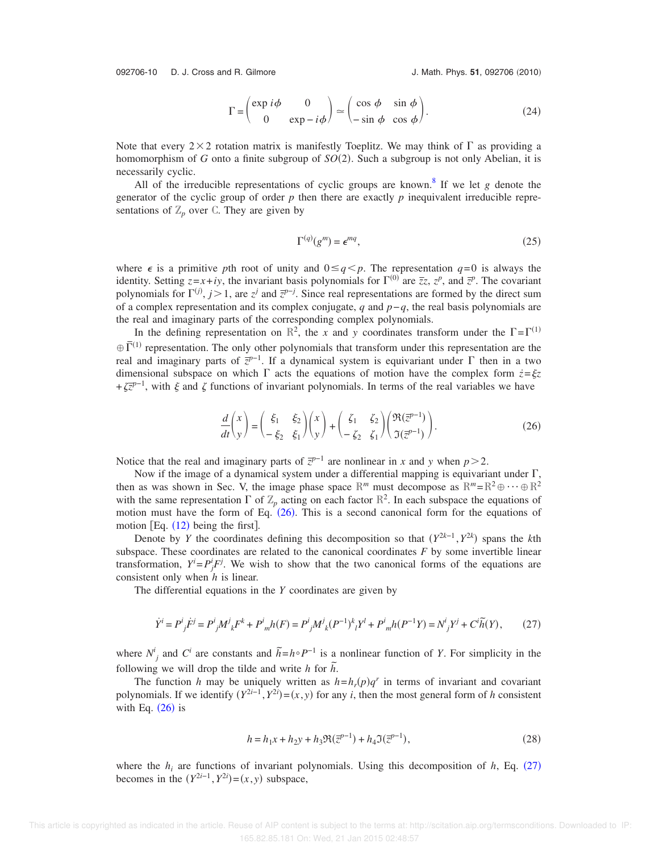092706-10 D. J. Cross and R. Gilmore

$$
\Gamma = \begin{pmatrix} \exp i\phi & 0\\ 0 & \exp - i\phi \end{pmatrix} \simeq \begin{pmatrix} \cos\phi & \sin\phi\\ -\sin\phi & \cos\phi \end{pmatrix}.
$$
 (24)

Note that every  $2\times 2$  rotation matrix is manifestly Toeplitz. We may think of  $\Gamma$  as providing a homomorphism of *G* onto a finite subgroup of *SO*(2). Such a subgroup is not only Abelian, it is necessarily cyclic.

All of the irreducible representations of cyclic groups are known.<sup>[8](#page-15-1)</sup> If we let  $g$  denote the generator of the cyclic group of order  $p$  then there are exactly  $p$  inequivalent irreducible representations of  $\mathbb{Z}_p$  over C. They are given by

$$
\Gamma^{(q)}(g^m) = \epsilon^{mq},\tag{25}
$$

where  $\epsilon$  is a primitive *p*th root of unity and  $0 \leq q \leq p$ . The representation  $q=0$  is always the identity. Setting  $z=x+iy$ , the invariant basis polynomials for  $\Gamma^{(0)}$  are  $\overline{z}z$ ,  $z^p$ , and  $\overline{z}^p$ . The covariant polynomials for  $\Gamma^{(j)}$ ,  $j > 1$ , are  $z^j$  and  $\overline{z}^{p-j}$ . Since real representations are formed by the direct sum of a complex representation and its complex conjugate, *q* and *p*−*q*, the real basis polynomials are the real and imaginary parts of the corresponding complex polynomials.

In the defining representation on  $\mathbb{R}^2$ , the *x* and *y* coordinates transform under the  $\Gamma = \Gamma^{(1)}$  $\oplus \overline{\Gamma}^{(1)}$  representation. The only other polynomials that transform under this representation are the  $\overline{\Gamma}^{(1)}$ real and imaginary parts of  $\overline{z}^{p-1}$ . If a dynamical system is equivariant under  $\Gamma$  then in a two dimensional subspace on which  $\Gamma$  acts the equations of motion have the complex form  $\dot{z} = \dot{\xi}z$  $+\zeta \overline{z}^{p-1}$ , with  $\xi$  and  $\zeta$  functions of invariant polynomials. In terms of the real variables we have

$$
\frac{d}{dt}\begin{pmatrix} x \\ y \end{pmatrix} = \begin{pmatrix} \xi_1 & \xi_2 \\ -\xi_2 & \xi_1 \end{pmatrix} \begin{pmatrix} x \\ y \end{pmatrix} + \begin{pmatrix} \zeta_1 & \zeta_2 \\ -\zeta_2 & \zeta_1 \end{pmatrix} \begin{pmatrix} \Re(\overline{z}^{p-1}) \\ \Im(\overline{z}^{p-1}) \end{pmatrix} . \tag{26}
$$

<span id="page-10-0"></span>Notice that the real and imaginary parts of  $\overline{z}^{p-1}$  are nonlinear in *x* and *y* when  $p > 2$ .

Now if the image of a dynamical system under a differential mapping is equivariant under  $\Gamma$ , then as was shown in Sec. V, the image phase space  $\mathbb{R}^m$  must decompose as  $\mathbb{R}^m = \mathbb{R}^2 \oplus \cdots \oplus \mathbb{R}^2$ with the same representation  $\Gamma$  of  $\mathbb{Z}_p$  acting on each factor  $\mathbb{R}^2$ . In each subspace the equations of motion must have the form of Eq.  $(26)$  $(26)$  $(26)$ . This is a second canonical form for the equations of motion [Eq.  $(12)$  $(12)$  $(12)$  being the first].

Denote by *Y* the coordinates defining this decomposition so that  $(Y^{2k-1}, Y^{2k})$  spans the *k*th subspace. These coordinates are related to the canonical coordinates *F* by some invertible linear transformation,  $Y^i = P^i_j F^j$ . We wish to show that the two canonical forms of the equations are consistent only when *h* is linear.

The differential equations in the *Y* coordinates are given by

$$
\dot{Y}^i = P^i{}_j \dot{F}^j = P^i{}_j M^j{}_k F^k + P^i{}_m h(F) = P^i{}_j M^j{}_k (P^{-1})^k{}_l Y^l + P^i{}_m h(P^{-1}Y) = N^i{}_j Y^j + C^i \tilde{h}(Y),\tag{27}
$$

<span id="page-10-1"></span>where  $N^i_j$  and  $C^i$  are constants and  $\tilde{h} = h \circ P^{-1}$  is a nonlinear function of *Y*. For simplicity in the following we will drop the tilde and write *h* for  $\tilde{h}$ .

The function *h* may be uniquely written as  $h=h_r(p)q^r$  in terms of invariant and covariant polynomials. If we identify  $(Y^{2i-1}, Y^{2i}) = (x, y)$  for any *i*, then the most general form of *h* consistent with Eq.  $(26)$  $(26)$  $(26)$  is

$$
h = h_1 x + h_2 y + h_3 \Re(\bar{z}^{p-1}) + h_4 \Im(\bar{z}^{p-1}),
$$
\n(28)

where the  $h_i$  are functions of invariant polynomials. Using this decomposition of  $h$ , Eq. ([27](#page-10-1)) becomes in the  $(Y^{2i-1}, Y^{2i}) = (x, y)$  subspace,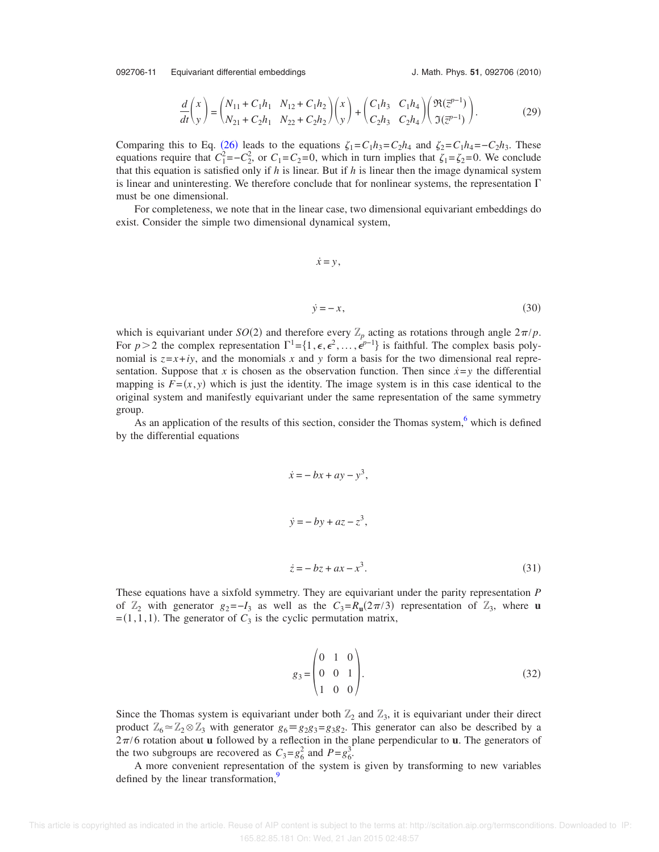092706-11 Equivariant differential embeddings

$$
\frac{d}{dt}\begin{pmatrix} x \\ y \end{pmatrix} = \begin{pmatrix} N_{11} + C_1 h_1 & N_{12} + C_1 h_2 \\ N_{21} + C_2 h_1 & N_{22} + C_2 h_2 \end{pmatrix} \begin{pmatrix} x \\ y \end{pmatrix} + \begin{pmatrix} C_1 h_3 & C_1 h_4 \\ C_2 h_3 & C_2 h_4 \end{pmatrix} \begin{pmatrix} \Re(\overline{z}^{p-1}) \\ \Im(\overline{z}^{p-1}) \end{pmatrix} .
$$
\n(29)

Comparing this to Eq. ([26](#page-10-0)) leads to the equations  $\zeta_1 = C_1 h_3 = C_2 h_4$  and  $\zeta_2 = C_1 h_4 = -C_2 h_3$ . These equations require that  $C_1^2 = -C_2^2$ , or  $C_1 = C_2 = 0$ , which in turn implies that  $\zeta_1 = \zeta_2 = 0$ . We conclude that this equation is satisfied only if *h* is linear. But if *h* is linear then the image dynamical system is linear and uninteresting. We therefore conclude that for nonlinear systems, the representation  $\Gamma$ must be one dimensional.

For completeness, we note that in the linear case, two dimensional equivariant embeddings do exist. Consider the simple two dimensional dynamical system,

$$
\dot{x} = y,
$$

$$
\dot{y} = -x,\tag{30}
$$

which is equivariant under  $SO(2)$  and therefore every  $\mathbb{Z}_p$  acting as rotations through angle  $2\pi/p$ . For  $p > 2$  the complex representation  $\Gamma^1 = \{1, \epsilon, \epsilon^2, \dots, \epsilon^{p-1}\}$  is faithful. The complex basis polynomial is  $z=x+iy$ , and the monomials x and y form a basis for the two dimensional real representation. Suppose that *x* is chosen as the observation function. Then since  $\dot{x} = y$  the differential mapping is  $F=(x, y)$  which is just the identity. The image system is in this case identical to the original system and manifestly equivariant under the same representation of the same symmetry group.

<span id="page-11-0"></span>As an application of the results of this section, consider the Thomas system, $6$  which is defined by the differential equations

$$
\begin{aligned}\n\dot{x} &= -bx + ay - y^3, \\
\dot{y} &= -by + az - z^3, \\
\dot{z} &= -bz + ax - x^3.\n\end{aligned} \tag{31}
$$

These equations have a sixfold symmetry. They are equivariant under the parity representation *P* of  $\mathbb{Z}_2$  with generator  $g_2 = -I_3$  as well as the  $C_3 = R_u(2\pi/3)$  representation of  $\mathbb{Z}_3$ , where **u**  $=(1,1,1)$ . The generator of  $C_3$  is the cyclic permutation matrix,

$$
g_3 = \begin{pmatrix} 0 & 1 & 0 \\ 0 & 0 & 1 \\ 1 & 0 & 0 \end{pmatrix} . \tag{32}
$$

Since the Thomas system is equivariant under both  $\mathbb{Z}_2$  and  $\mathbb{Z}_3$ , it is equivariant under their direct product  $\mathbb{Z}_6 \simeq \mathbb{Z}_2 \otimes \mathbb{Z}_3$  with generator  $g_6 = g_2g_3 = g_3g_2$ . This generator can also be described by a  $2\pi/6$  rotation about **u** followed by a reflection in the plane perpendicular to **u**. The generators of the two subgroups are recovered as  $C_3 = g_6^2$  and  $P = g_6^3$ .

A more convenient representation of the system is given by transforming to new variables defined by the linear transformation,<sup>[9](#page-15-2)</sup>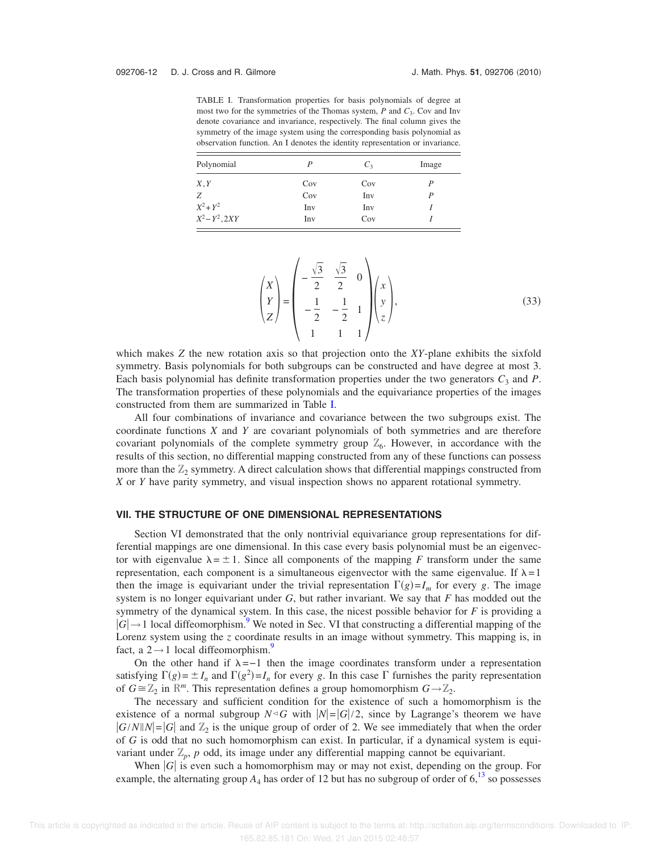<span id="page-12-0"></span>TABLE I. Transformation properties for basis polynomials of degree at most two for the symmetries of the Thomas system, P and  $C_3$ . Cov and Inv denote covariance and invariance, respectively. The final column gives the symmetry of the image system using the corresponding basis polynomial as observation function. An I denotes the identity representation or invariance.

| Polynomial        | P   | $C_3$ | Image |
|-------------------|-----|-------|-------|
| X, Y              | Cov | Cov   | P     |
| Z                 | Cov | Inv   |       |
| $X^2 + Y^2$       | Inv | Inv   |       |
| $X^2 - Y^2$ , 2XY | Inv | Cov   |       |

$$
\begin{pmatrix} X \\ Y \\ Z \end{pmatrix} = \begin{pmatrix} -\frac{\sqrt{3}}{2} & \frac{\sqrt{3}}{2} & 0 \\ -\frac{1}{2} & -\frac{1}{2} & 1 \\ 1 & 1 & 1 \end{pmatrix} \begin{pmatrix} x \\ y \\ z \end{pmatrix},
$$
(33)

which makes *Z* the new rotation axis so that projection onto the *XY*-plane exhibits the sixfold symmetry. Basis polynomials for both subgroups can be constructed and have degree at most 3. Each basis polynomial has definite transformation properties under the two generators  $C_3$  and *P*. The transformation properties of these polynomials and the equivariance properties of the images constructed from them are summarized in Table [I.](#page-12-0)

All four combinations of invariance and covariance between the two subgroups exist. The coordinate functions *X* and *Y* are covariant polynomials of both symmetries and are therefore covariant polynomials of the complete symmetry group  $\mathbb{Z}_6$ . However, in accordance with the results of this section, no differential mapping constructed from any of these functions can possess more than the  $\mathbb{Z}_2$  symmetry. A direct calculation shows that differential mappings constructed from *X* or *Y* have parity symmetry, and visual inspection shows no apparent rotational symmetry.

#### **VII. THE STRUCTURE OF ONE DIMENSIONAL REPRESENTATIONS**

Section VI demonstrated that the only nontrivial equivariance group representations for differential mappings are one dimensional. In this case every basis polynomial must be an eigenvector with eigenvalue  $\lambda = \pm 1$ . Since all components of the mapping *F* transform under the same representation, each component is a simultaneous eigenvector with the same eigenvalue. If  $\lambda = 1$ then the image is equivariant under the trivial representation  $\Gamma(g) = I_m$  for every *g*. The image system is no longer equivariant under *G*, but rather invariant. We say that *F* has modded out the symmetry of the dynamical system. In this case, the nicest possible behavior for *F* is providing a  $|G| \rightarrow 1$  local diffeomorphism.<sup>[9](#page-15-2)</sup> We noted in Sec. VI that constructing a differential mapping of the Lorenz system using the *z* coordinate results in an image without symmetry. This mapping is, in fact, a  $2 \rightarrow 1$  local diffeomorphism.

On the other hand if  $\lambda = -1$  then the image coordinates transform under a representation satisfying  $\Gamma(g) = \pm I_n$  and  $\Gamma(g^2) = I_n$  for every *g*. In this case  $\Gamma$  furnishes the parity representation of  $G \cong \mathbb{Z}_2$  in  $\mathbb{R}^m$ . This representation defines a group homomorphism  $G \to \mathbb{Z}_2$ .

The necessary and sufficient condition for the existence of such a homomorphism is the existence of a normal subgroup *N*⊴*G* with  $|N|=|G|/2$ , since by Lagrange's theorem we have  $|G/N||N|=|G|$  and  $\mathbb{Z}_2$  is the unique group of order of 2. We see immediately that when the order of *G* is odd that no such homomorphism can exist. In particular, if a dynamical system is equivariant under  $\mathbb{Z}_p$ ,  $p$  odd, its image under any differential mapping cannot be equivariant.

When  $|G|$  is even such a homomorphism may or may not exist, depending on the group. For example, the alternating group  $A_4$  has order of 12 but has no subgroup of order of  $6$ ,<sup>[13](#page-15-6)</sup> so possesses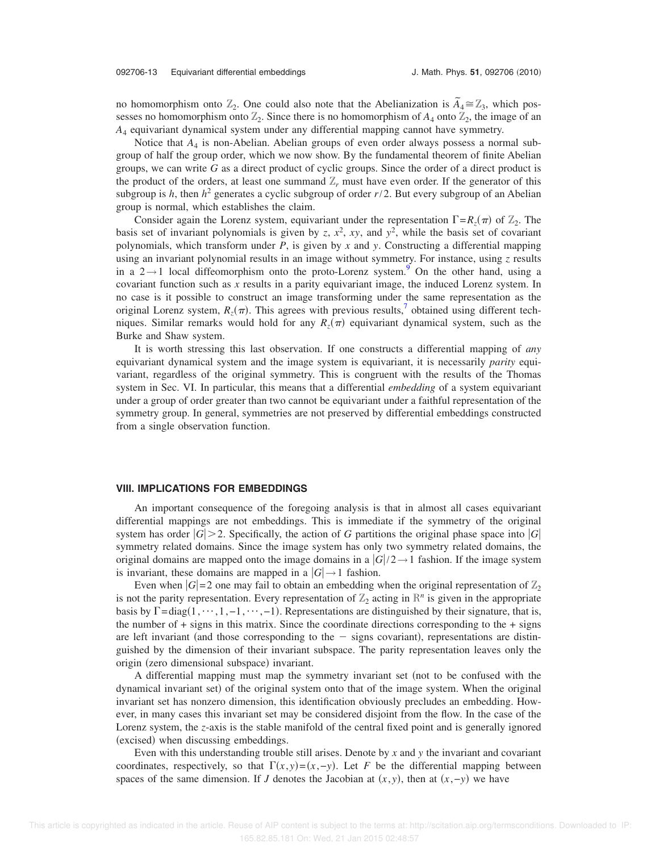no homomorphism onto  $\mathbb{Z}_2$ . One could also note that the Abelianization is  $\tilde{A}_4 \cong \mathbb{Z}_3$ , which possesses no homomorphism onto  $\mathbb{Z}_2$ . Since there is no homomorphism of  $A_4$  onto  $\mathbb{Z}_2$ , the image of an *A*<sup>4</sup> equivariant dynamical system under any differential mapping cannot have symmetry.

Notice that  $A_4$  is non-Abelian. Abelian groups of even order always possess a normal subgroup of half the group order, which we now show. By the fundamental theorem of finite Abelian groups, we can write *G* as a direct product of cyclic groups. Since the order of a direct product is the product of the orders, at least one summand  $\mathbb{Z}_r$  must have even order. If the generator of this subgroup is  $h$ , then  $h^2$  generates a cyclic subgroup of order  $r/2$ . But every subgroup of an Abelian group is normal, which establishes the claim.

Consider again the Lorenz system, equivariant under the representation  $\Gamma = R_z(\pi)$  of  $\mathbb{Z}_2$ . The basis set of invariant polynomials is given by *z*,  $x^2$ , *xy*, and  $y^2$ , while the basis set of covariant polynomials, which transform under *P*, is given by *x* and *y*. Constructing a differential mapping using an invariant polynomial results in an image without symmetry. For instance, using *z* results in a  $2 \rightarrow 1$  local diffeomorphism onto the proto-Lorenz system.<sup>[9](#page-15-2)</sup> On the other hand, using a covariant function such as *x* results in a parity equivariant image, the induced Lorenz system. In no case is it possible to construct an image transforming under the same representation as the original Lorenz system,  $R_z(\pi)$ . This agrees with previous results,<sup>[7](#page-15-0)</sup> obtained using different techniques. Similar remarks would hold for any  $R_z(\pi)$  equivariant dynamical system, such as the Burke and Shaw system.

It is worth stressing this last observation. If one constructs a differential mapping of *any* equivariant dynamical system and the image system is equivariant, it is necessarily *parity* equivariant, regardless of the original symmetry. This is congruent with the results of the Thomas system in Sec. VI. In particular, this means that a differential *embedding* of a system equivariant under a group of order greater than two cannot be equivariant under a faithful representation of the symmetry group. In general, symmetries are not preserved by differential embeddings constructed from a single observation function.

#### **VIII. IMPLICATIONS FOR EMBEDDINGS**

An important consequence of the foregoing analysis is that in almost all cases equivariant differential mappings are not embeddings. This is immediate if the symmetry of the original system has order  $|G| > 2$ . Specifically, the action of *G* partitions the original phase space into  $|G|$ symmetry related domains. Since the image system has only two symmetry related domains, the original domains are mapped onto the image domains in a  $|G|/2 \rightarrow 1$  fashion. If the image system is invariant, these domains are mapped in a  $|G| \rightarrow 1$  fashion.

Even when  $|G|=2$  one may fail to obtain an embedding when the original representation of  $\mathbb{Z}_2$ is not the parity representation. Every representation of  $\mathbb{Z}_2$  acting in  $\mathbb{R}^n$  is given in the appropriate basis by  $\Gamma = \text{diag}(1, \dots, 1, -1, \dots, -1)$ . Representations are distinguished by their signature, that is, the number of  $+$  signs in this matrix. Since the coordinate directions corresponding to the  $+$  signs are left invariant (and those corresponding to the  $-$  signs covariant), representations are distinguished by the dimension of their invariant subspace. The parity representation leaves only the origin (zero dimensional subspace) invariant.

A differential mapping must map the symmetry invariant set (not to be confused with the dynamical invariant set) of the original system onto that of the image system. When the original invariant set has nonzero dimension, this identification obviously precludes an embedding. However, in many cases this invariant set may be considered disjoint from the flow. In the case of the Lorenz system, the *z*-axis is the stable manifold of the central fixed point and is generally ignored (excised) when discussing embeddings.

Even with this understanding trouble still arises. Denote by *x* and *y* the invariant and covariant coordinates, respectively, so that  $\Gamma(x, y) = (x, -y)$ . Let *F* be the differential mapping between spaces of the same dimension. If *J* denotes the Jacobian at  $(x, y)$ , then at  $(x, -y)$  we have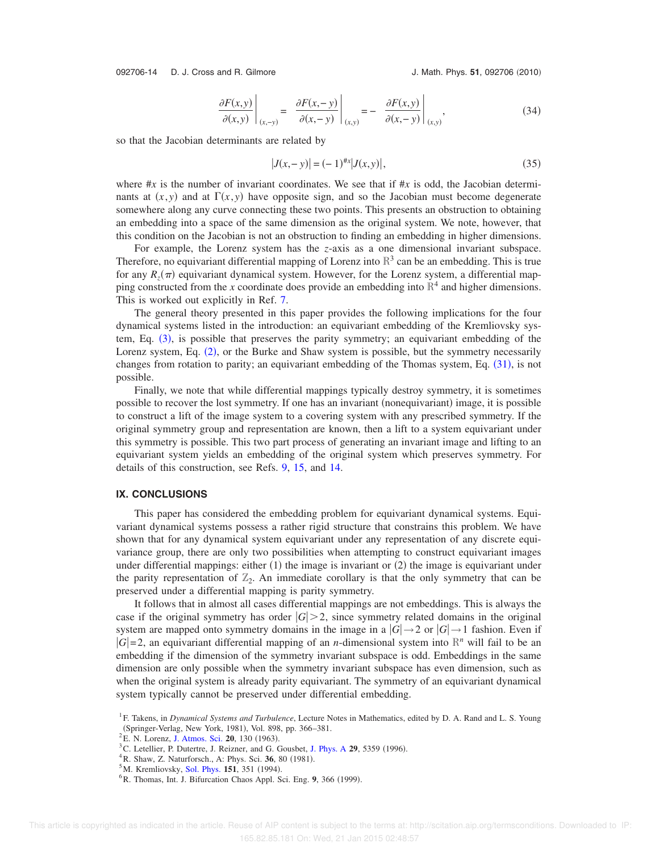092706-14 D. J. Cross and R. Gilmore

$$
\left. \frac{\partial F(x, y)}{\partial(x, y)} \right|_{(x, -y)} = \left. \frac{\partial F(x, -y)}{\partial(x, -y)} \right|_{(x, y)} = - \left. \frac{\partial F(x, y)}{\partial(x, -y)} \right|_{(x, y)}, \tag{34}
$$

so that the Jacobian determinants are related by

$$
|J(x, -y)| = (-1)^{\#x}|J(x, y)|,
$$
\n(35)

where  $\#x$  is the number of invariant coordinates. We see that if  $\#x$  is odd, the Jacobian determinants at  $(x, y)$  and at  $\Gamma(x, y)$  have opposite sign, and so the Jacobian must become degenerate somewhere along any curve connecting these two points. This presents an obstruction to obtaining an embedding into a space of the same dimension as the original system. We note, however, that this condition on the Jacobian is not an obstruction to finding an embedding in higher dimensions.

For example, the Lorenz system has the *z*-axis as a one dimensional invariant subspace. Therefore, no equivariant differential mapping of Lorenz into  $\mathbb{R}^3$  can be an embedding. This is true for any  $R_z(\pi)$  equivariant dynamical system. However, for the Lorenz system, a differential mapping constructed from the *x* coordinate does provide an embedding into  $\mathbb{R}^4$  and higher dimensions. This is worked out explicitly in Ref. [7.](#page-15-0)

The general theory presented in this paper provides the following implications for the four dynamical systems listed in the introduction: an equivariant embedding of the Kremliovsky sys-tem, Eq. ([3](#page-2-2)), is possible that preserves the parity symmetry; an equivariant embedding of the Lorenz system, Eq. ([2](#page-2-0)), or the Burke and Shaw system is possible, but the symmetry necessarily changes from rotation to parity; an equivariant embedding of the Thomas system, Eq.  $(31)$  $(31)$  $(31)$ , is not possible.

Finally, we note that while differential mappings typically destroy symmetry, it is sometimes possible to recover the lost symmetry. If one has an invariant (nonequivariant) image, it is possible to construct a lift of the image system to a covering system with any prescribed symmetry. If the original symmetry group and representation are known, then a lift to a system equivariant under this symmetry is possible. This two part process of generating an invariant image and lifting to an equivariant system yields an embedding of the original system which preserves symmetry. For details of this construction, see Refs. [9,](#page-15-2) [15,](#page-15-7) and [14.](#page-15-8)

#### **IX. CONCLUSIONS**

This paper has considered the embedding problem for equivariant dynamical systems. Equivariant dynamical systems possess a rather rigid structure that constrains this problem. We have shown that for any dynamical system equivariant under any representation of any discrete equivariance group, there are only two possibilities when attempting to construct equivariant images under differential mappings: either  $(1)$  the image is invariant or  $(2)$  the image is equivariant under the parity representation of  $\mathbb{Z}_2$ . An immediate corollary is that the only symmetry that can be preserved under a differential mapping is parity symmetry.

It follows that in almost all cases differential mappings are not embeddings. This is always the case if the original symmetry has order  $|G| > 2$ , since symmetry related domains in the original system are mapped onto symmetry domains in the image in a  $|G|\rightarrow 2$  or  $|G|\rightarrow 1$  fashion. Even if  $|G|=2$ , an equivariant differential mapping of an *n*-dimensional system into  $\mathbb{R}^n$  will fail to be an embedding if the dimension of the symmetry invariant subspace is odd. Embeddings in the same dimension are only possible when the symmetry invariant subspace has even dimension, such as when the original system is already parity equivariant. The symmetry of an equivariant dynamical system typically cannot be preserved under differential embedding.

<span id="page-14-5"></span><sup>&</sup>lt;sup>1</sup> F. Takens, in *Dynamical Systems and Turbulence*, Lecture Notes in Mathematics, edited by D. A. Rand and L. S. Young (Springer-Verlag, New York, 1981), Vol. 898, pp. 366-381.

<span id="page-14-0"></span><sup>&</sup>lt;sup>2</sup> E. N. Lorenz, [J. Atmos. Sci.](http://dx.doi.org/10.1175/1520-0469\(1963\)020<0130:DNF>2.0.CO;2) **20**, 130 (1963).

<span id="page-14-1"></span> $3^3$ C. Letellier, P. Dutertre, J. Reizner, and G. Gousbet, [J. Phys. A](http://dx.doi.org/10.1088/0305-4470/29/17/012) 29, 5359 (1996).

<sup>&</sup>lt;sup>4</sup> R. Shaw, Z. Naturforsch., A: Phys. Sci. 36, 80 (1981).

<span id="page-14-3"></span><span id="page-14-2"></span><sup>&</sup>lt;sup>5</sup>M. Kremliovsky, [Sol. Phys.](http://dx.doi.org/10.1007/BF00679081) **151**, 351 (1994).

<span id="page-14-4"></span><sup>&</sup>lt;sup>6</sup> R. Thomas, Int. J. Bifurcation Chaos Appl. Sci. Eng. 9, 366 (1999).